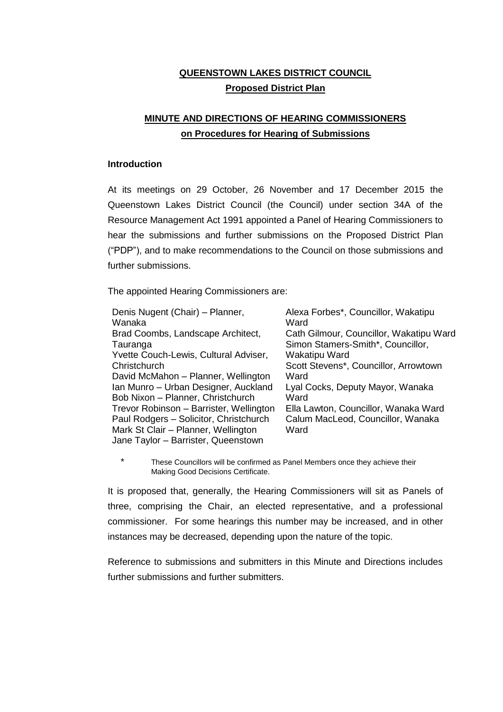# **QUEENSTOWN LAKES DISTRICT COUNCIL Proposed District Plan**

# **MINUTE AND DIRECTIONS OF HEARING COMMISSIONERS on Procedures for Hearing of Submissions**

# **Introduction**

At its meetings on 29 October, 26 November and 17 December 2015 the Queenstown Lakes District Council (the Council) under section 34A of the Resource Management Act 1991 appointed a Panel of Hearing Commissioners to hear the submissions and further submissions on the Proposed District Plan ("PDP"), and to make recommendations to the Council on those submissions and further submissions.

The appointed Hearing Commissioners are:

| Denis Nugent (Chair) - Planner,<br>Wanaka | Alexa Forbes*, Councillor, Wakatipu<br>Ward |
|-------------------------------------------|---------------------------------------------|
| Brad Coombs, Landscape Architect,         | Cath Gilmour, Councillor, Wakatipu Ward     |
| Tauranga                                  | Simon Stamers-Smith*, Councillor,           |
| Yvette Couch-Lewis, Cultural Adviser,     | Wakatipu Ward                               |
| Christchurch                              | Scott Stevens*, Councillor, Arrowtown       |
| David McMahon - Planner, Wellington       | Ward                                        |
| Ian Munro - Urban Designer, Auckland      | Lyal Cocks, Deputy Mayor, Wanaka            |
| Bob Nixon - Planner, Christchurch         | Ward                                        |
| Trevor Robinson - Barrister, Wellington   | Ella Lawton, Councillor, Wanaka Ward        |
| Paul Rodgers - Solicitor, Christchurch    | Calum MacLeod, Councillor, Wanaka           |
| Mark St Clair - Planner, Wellington       | Ward                                        |
| Jane Taylor - Barrister, Queenstown       |                                             |

\* These Councillors will be confirmed as Panel Members once they achieve their Making Good Decisions Certificate.

It is proposed that, generally, the Hearing Commissioners will sit as Panels of three, comprising the Chair, an elected representative, and a professional commissioner. For some hearings this number may be increased, and in other instances may be decreased, depending upon the nature of the topic.

Reference to submissions and submitters in this Minute and Directions includes further submissions and further submitters.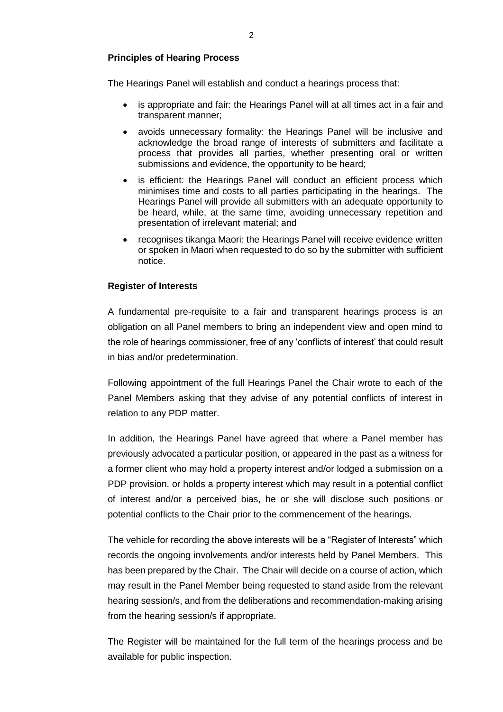# **Principles of Hearing Process**

The Hearings Panel will establish and conduct a hearings process that:

- is appropriate and fair: the Hearings Panel will at all times act in a fair and transparent manner;
- avoids unnecessary formality: the Hearings Panel will be inclusive and acknowledge the broad range of interests of submitters and facilitate a process that provides all parties, whether presenting oral or written submissions and evidence, the opportunity to be heard;
- is efficient: the Hearings Panel will conduct an efficient process which minimises time and costs to all parties participating in the hearings. The Hearings Panel will provide all submitters with an adequate opportunity to be heard, while, at the same time, avoiding unnecessary repetition and presentation of irrelevant material; and
- recognises tikanga Maori: the Hearings Panel will receive evidence written or spoken in Maori when requested to do so by the submitter with sufficient notice.

# **Register of Interests**

A fundamental pre-requisite to a fair and transparent hearings process is an obligation on all Panel members to bring an independent view and open mind to the role of hearings commissioner, free of any 'conflicts of interest' that could result in bias and/or predetermination.

Following appointment of the full Hearings Panel the Chair wrote to each of the Panel Members asking that they advise of any potential conflicts of interest in relation to any PDP matter.

In addition, the Hearings Panel have agreed that where a Panel member has previously advocated a particular position, or appeared in the past as a witness for a former client who may hold a property interest and/or lodged a submission on a PDP provision, or holds a property interest which may result in a potential conflict of interest and/or a perceived bias, he or she will disclose such positions or potential conflicts to the Chair prior to the commencement of the hearings.

The vehicle for recording the above interests will be a "Register of Interests" which records the ongoing involvements and/or interests held by Panel Members. This has been prepared by the Chair. The Chair will decide on a course of action, which may result in the Panel Member being requested to stand aside from the relevant hearing session/s, and from the deliberations and recommendation-making arising from the hearing session/s if appropriate.

The Register will be maintained for the full term of the hearings process and be available for public inspection.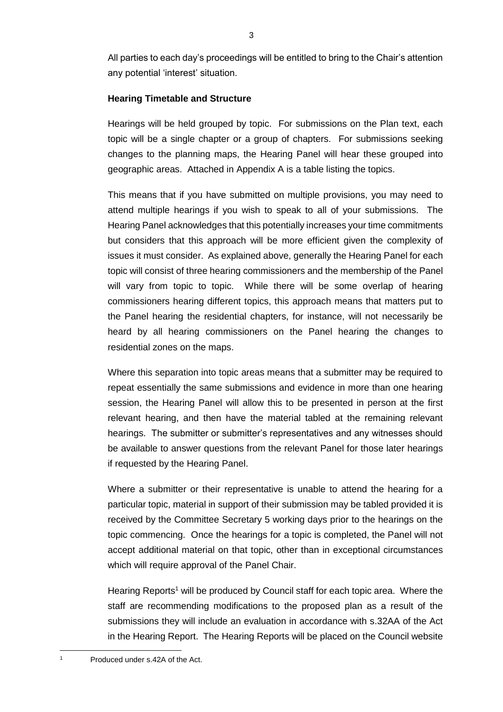All parties to each day's proceedings will be entitled to bring to the Chair's attention any potential 'interest' situation.

# **Hearing Timetable and Structure**

Hearings will be held grouped by topic. For submissions on the Plan text, each topic will be a single chapter or a group of chapters. For submissions seeking changes to the planning maps, the Hearing Panel will hear these grouped into geographic areas. Attached in Appendix A is a table listing the topics.

This means that if you have submitted on multiple provisions, you may need to attend multiple hearings if you wish to speak to all of your submissions. The Hearing Panel acknowledges that this potentially increases your time commitments but considers that this approach will be more efficient given the complexity of issues it must consider. As explained above, generally the Hearing Panel for each topic will consist of three hearing commissioners and the membership of the Panel will vary from topic to topic. While there will be some overlap of hearing commissioners hearing different topics, this approach means that matters put to the Panel hearing the residential chapters, for instance, will not necessarily be heard by all hearing commissioners on the Panel hearing the changes to residential zones on the maps.

Where this separation into topic areas means that a submitter may be required to repeat essentially the same submissions and evidence in more than one hearing session, the Hearing Panel will allow this to be presented in person at the first relevant hearing, and then have the material tabled at the remaining relevant hearings. The submitter or submitter's representatives and any witnesses should be available to answer questions from the relevant Panel for those later hearings if requested by the Hearing Panel.

Where a submitter or their representative is unable to attend the hearing for a particular topic, material in support of their submission may be tabled provided it is received by the Committee Secretary 5 working days prior to the hearings on the topic commencing. Once the hearings for a topic is completed, the Panel will not accept additional material on that topic, other than in exceptional circumstances which will require approval of the Panel Chair.

Hearing Reports<sup>1</sup> will be produced by Council staff for each topic area. Where the staff are recommending modifications to the proposed plan as a result of the submissions they will include an evaluation in accordance with s.32AA of the Act in the Hearing Report. The Hearing Reports will be placed on the Council website

 $\overline{a}$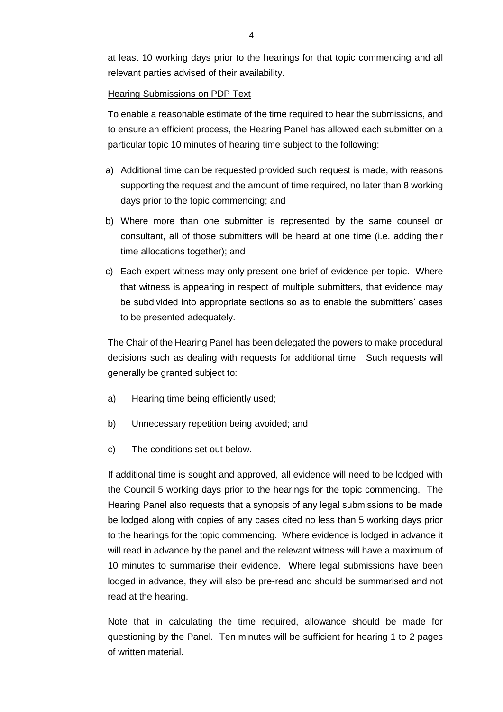at least 10 working days prior to the hearings for that topic commencing and all relevant parties advised of their availability.

# **Hearing Submissions on PDP Text**

To enable a reasonable estimate of the time required to hear the submissions, and to ensure an efficient process, the Hearing Panel has allowed each submitter on a particular topic 10 minutes of hearing time subject to the following:

- a) Additional time can be requested provided such request is made, with reasons supporting the request and the amount of time required, no later than 8 working days prior to the topic commencing; and
- b) Where more than one submitter is represented by the same counsel or consultant, all of those submitters will be heard at one time (i.e. adding their time allocations together); and
- c) Each expert witness may only present one brief of evidence per topic. Where that witness is appearing in respect of multiple submitters, that evidence may be subdivided into appropriate sections so as to enable the submitters' cases to be presented adequately.

The Chair of the Hearing Panel has been delegated the powers to make procedural decisions such as dealing with requests for additional time. Such requests will generally be granted subject to:

- a) Hearing time being efficiently used;
- b) Unnecessary repetition being avoided; and
- c) The conditions set out below.

If additional time is sought and approved, all evidence will need to be lodged with the Council 5 working days prior to the hearings for the topic commencing. The Hearing Panel also requests that a synopsis of any legal submissions to be made be lodged along with copies of any cases cited no less than 5 working days prior to the hearings for the topic commencing. Where evidence is lodged in advance it will read in advance by the panel and the relevant witness will have a maximum of 10 minutes to summarise their evidence. Where legal submissions have been lodged in advance, they will also be pre-read and should be summarised and not read at the hearing.

Note that in calculating the time required, allowance should be made for questioning by the Panel. Ten minutes will be sufficient for hearing 1 to 2 pages of written material.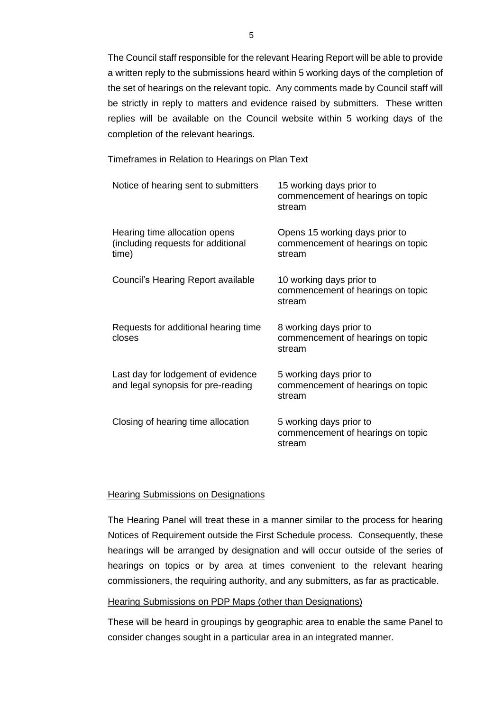The Council staff responsible for the relevant Hearing Report will be able to provide a written reply to the submissions heard within 5 working days of the completion of the set of hearings on the relevant topic. Any comments made by Council staff will be strictly in reply to matters and evidence raised by submitters. These written replies will be available on the Council website within 5 working days of the completion of the relevant hearings.

#### Timeframes in Relation to Hearings on Plan Text

| Notice of hearing sent to submitters                                         | 15 working days prior to<br>commencement of hearings on topic<br>stream       |
|------------------------------------------------------------------------------|-------------------------------------------------------------------------------|
| Hearing time allocation opens<br>(including requests for additional<br>time) | Opens 15 working days prior to<br>commencement of hearings on topic<br>stream |
| Council's Hearing Report available                                           | 10 working days prior to<br>commencement of hearings on topic<br>stream       |
| Requests for additional hearing time<br>closes                               | 8 working days prior to<br>commencement of hearings on topic<br>stream        |
| Last day for lodgement of evidence<br>and legal synopsis for pre-reading     | 5 working days prior to<br>commencement of hearings on topic<br>stream        |
| Closing of hearing time allocation                                           | 5 working days prior to<br>commencement of hearings on topic<br>stream        |

# **Hearing Submissions on Designations**

The Hearing Panel will treat these in a manner similar to the process for hearing Notices of Requirement outside the First Schedule process. Consequently, these hearings will be arranged by designation and will occur outside of the series of hearings on topics or by area at times convenient to the relevant hearing commissioners, the requiring authority, and any submitters, as far as practicable.

# Hearing Submissions on PDP Maps (other than Designations)

These will be heard in groupings by geographic area to enable the same Panel to consider changes sought in a particular area in an integrated manner.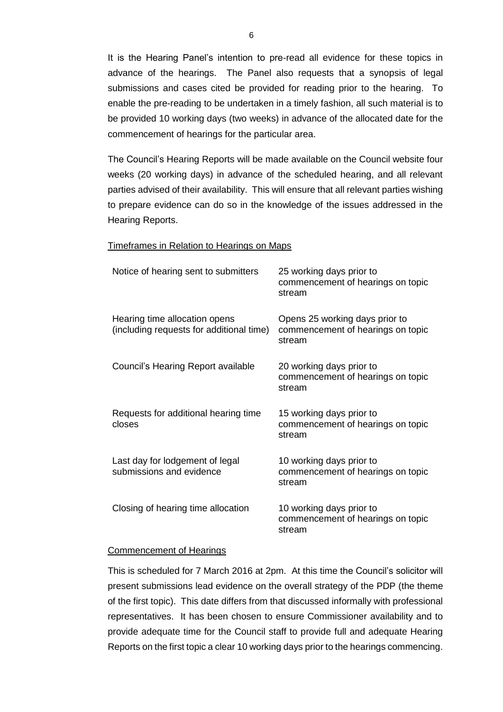It is the Hearing Panel's intention to pre-read all evidence for these topics in advance of the hearings. The Panel also requests that a synopsis of legal submissions and cases cited be provided for reading prior to the hearing. To enable the pre-reading to be undertaken in a timely fashion, all such material is to be provided 10 working days (two weeks) in advance of the allocated date for the commencement of hearings for the particular area.

The Council's Hearing Reports will be made available on the Council website four weeks (20 working days) in advance of the scheduled hearing, and all relevant parties advised of their availability. This will ensure that all relevant parties wishing to prepare evidence can do so in the knowledge of the issues addressed in the Hearing Reports.

#### Timeframes in Relation to Hearings on Maps

| Notice of hearing sent to submitters                                      | 25 working days prior to<br>commencement of hearings on topic<br>stream       |
|---------------------------------------------------------------------------|-------------------------------------------------------------------------------|
| Hearing time allocation opens<br>(including requests for additional time) | Opens 25 working days prior to<br>commencement of hearings on topic<br>stream |
| Council's Hearing Report available                                        | 20 working days prior to<br>commencement of hearings on topic<br>stream       |
| Requests for additional hearing time<br>closes                            | 15 working days prior to<br>commencement of hearings on topic<br>stream       |
| Last day for lodgement of legal<br>submissions and evidence               | 10 working days prior to<br>commencement of hearings on topic<br>stream       |
| Closing of hearing time allocation                                        | 10 working days prior to<br>commencement of hearings on topic<br>stream       |

#### Commencement of Hearings

This is scheduled for 7 March 2016 at 2pm. At this time the Council's solicitor will present submissions lead evidence on the overall strategy of the PDP (the theme of the first topic). This date differs from that discussed informally with professional representatives. It has been chosen to ensure Commissioner availability and to provide adequate time for the Council staff to provide full and adequate Hearing Reports on the first topic a clear 10 working days prior to the hearings commencing.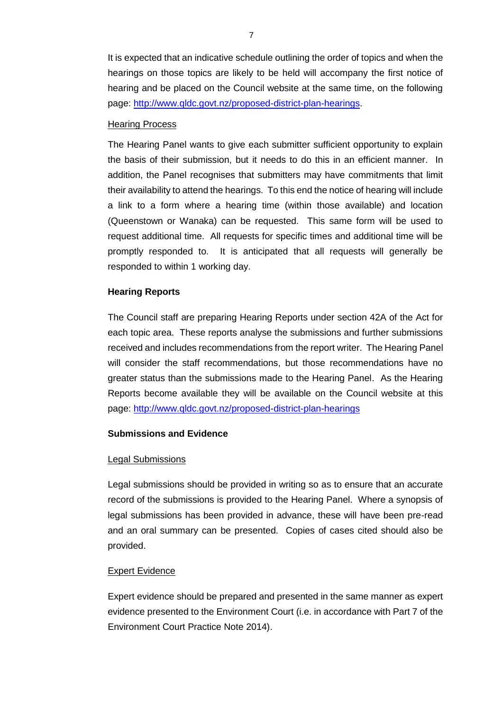It is expected that an indicative schedule outlining the order of topics and when the hearings on those topics are likely to be held will accompany the first notice of hearing and be placed on the Council website at the same time, on the following page: [http://www.qldc.govt.nz/proposed-district-plan-hearings.](http://www.qldc.govt.nz/proposed-district-plan-hearings)

#### Hearing Process

The Hearing Panel wants to give each submitter sufficient opportunity to explain the basis of their submission, but it needs to do this in an efficient manner. In addition, the Panel recognises that submitters may have commitments that limit their availability to attend the hearings. To this end the notice of hearing will include a link to a form where a hearing time (within those available) and location (Queenstown or Wanaka) can be requested. This same form will be used to request additional time. All requests for specific times and additional time will be promptly responded to. It is anticipated that all requests will generally be responded to within 1 working day.

# **Hearing Reports**

The Council staff are preparing Hearing Reports under section 42A of the Act for each topic area. These reports analyse the submissions and further submissions received and includes recommendations from the report writer. The Hearing Panel will consider the staff recommendations, but those recommendations have no greater status than the submissions made to the Hearing Panel. As the Hearing Reports become available they will be available on the Council website at this page:<http://www.qldc.govt.nz/proposed-district-plan-hearings>

# **Submissions and Evidence**

# Legal Submissions

Legal submissions should be provided in writing so as to ensure that an accurate record of the submissions is provided to the Hearing Panel. Where a synopsis of legal submissions has been provided in advance, these will have been pre-read and an oral summary can be presented. Copies of cases cited should also be provided.

# Expert Evidence

Expert evidence should be prepared and presented in the same manner as expert evidence presented to the Environment Court (i.e. in accordance with Part 7 of the Environment Court Practice Note 2014).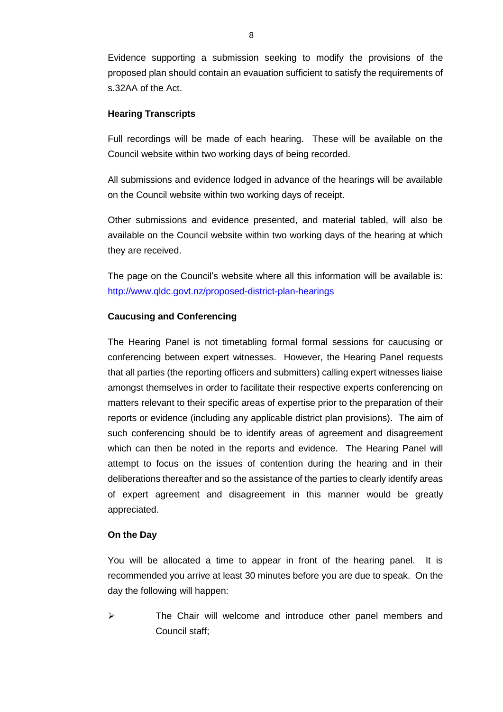Evidence supporting a submission seeking to modify the provisions of the proposed plan should contain an evauation sufficient to satisfy the requirements of s.32AA of the Act.

# **Hearing Transcripts**

Full recordings will be made of each hearing. These will be available on the Council website within two working days of being recorded.

All submissions and evidence lodged in advance of the hearings will be available on the Council website within two working days of receipt.

Other submissions and evidence presented, and material tabled, will also be available on the Council website within two working days of the hearing at which they are received.

The page on the Council's website where all this information will be available is: <http://www.qldc.govt.nz/proposed-district-plan-hearings>

# **Caucusing and Conferencing**

The Hearing Panel is not timetabling formal formal sessions for caucusing or conferencing between expert witnesses. However, the Hearing Panel requests that all parties (the reporting officers and submitters) calling expert witnesses liaise amongst themselves in order to facilitate their respective experts conferencing on matters relevant to their specific areas of expertise prior to the preparation of their reports or evidence (including any applicable district plan provisions). The aim of such conferencing should be to identify areas of agreement and disagreement which can then be noted in the reports and evidence. The Hearing Panel will attempt to focus on the issues of contention during the hearing and in their deliberations thereafter and so the assistance of the parties to clearly identify areas of expert agreement and disagreement in this manner would be greatly appreciated.

#### **On the Day**

You will be allocated a time to appear in front of the hearing panel. It is recommended you arrive at least 30 minutes before you are due to speak. On the day the following will happen:

 $\triangleright$  The Chair will welcome and introduce other panel members and Council staff;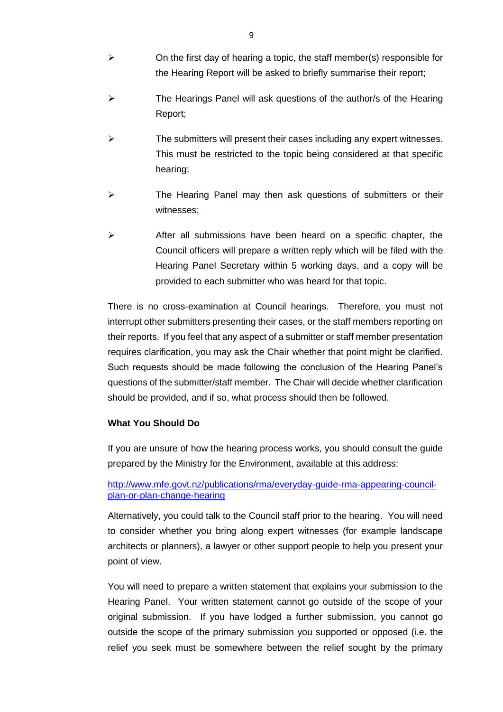- $\triangleright$  On the first day of hearing a topic, the staff member(s) responsible for the Hearing Report will be asked to briefly summarise their report;
- $\triangleright$  The Hearings Panel will ask questions of the author/s of the Hearing Report;
- $\triangleright$  The submitters will present their cases including any expert witnesses. This must be restricted to the topic being considered at that specific hearing;
- $\triangleright$  The Hearing Panel may then ask questions of submitters or their witnesses;
- $\triangleright$  After all submissions have been heard on a specific chapter, the Council officers will prepare a written reply which will be filed with the Hearing Panel Secretary within 5 working days, and a copy will be provided to each submitter who was heard for that topic.

There is no cross-examination at Council hearings. Therefore, you must not interrupt other submitters presenting their cases, or the staff members reporting on their reports. If you feel that any aspect of a submitter or staff member presentation requires clarification, you may ask the Chair whether that point might be clarified. Such requests should be made following the conclusion of the Hearing Panel's questions of the submitter/staff member. The Chair will decide whether clarification should be provided, and if so, what process should then be followed.

# **What You Should Do**

If you are unsure of how the hearing process works, you should consult the guide prepared by the Ministry for the Environment, available at this address:

# [http://www.mfe.govt.nz/publications/rma/everyday-guide-rma-appearing-council](http://www.mfe.govt.nz/publications/rma/everyday-guide-rma-appearing-council-plan-or-plan-change-hearing)[plan-or-plan-change-hearing](http://www.mfe.govt.nz/publications/rma/everyday-guide-rma-appearing-council-plan-or-plan-change-hearing)

Alternatively, you could talk to the Council staff prior to the hearing. You will need to consider whether you bring along expert witnesses (for example landscape architects or planners), a lawyer or other support people to help you present your point of view.

You will need to prepare a written statement that explains your submission to the Hearing Panel. Your written statement cannot go outside of the scope of your original submission. If you have lodged a further submission, you cannot go outside the scope of the primary submission you supported or opposed (i.e. the relief you seek must be somewhere between the relief sought by the primary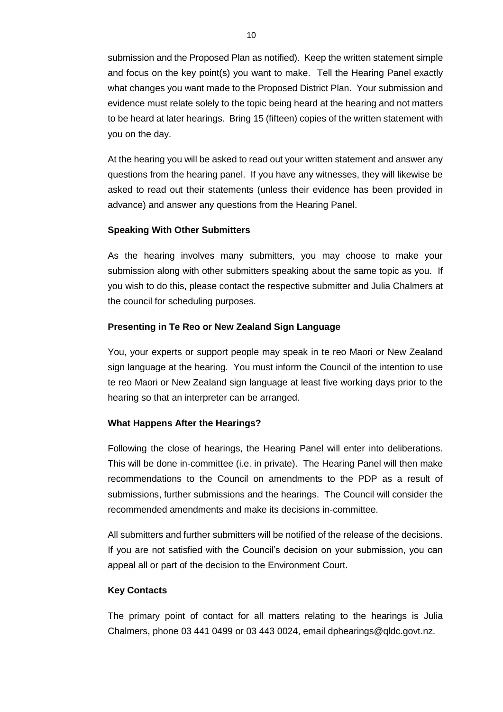submission and the Proposed Plan as notified). Keep the written statement simple and focus on the key point(s) you want to make. Tell the Hearing Panel exactly what changes you want made to the Proposed District Plan. Your submission and evidence must relate solely to the topic being heard at the hearing and not matters to be heard at later hearings. Bring 15 (fifteen) copies of the written statement with you on the day.

At the hearing you will be asked to read out your written statement and answer any questions from the hearing panel. If you have any witnesses, they will likewise be asked to read out their statements (unless their evidence has been provided in advance) and answer any questions from the Hearing Panel.

# **Speaking With Other Submitters**

As the hearing involves many submitters, you may choose to make your submission along with other submitters speaking about the same topic as you. If you wish to do this, please contact the respective submitter and Julia Chalmers at the council for scheduling purposes.

# **Presenting in Te Reo or New Zealand Sign Language**

You, your experts or support people may speak in te reo Maori or New Zealand sign language at the hearing. You must inform the Council of the intention to use te reo Maori or New Zealand sign language at least five working days prior to the hearing so that an interpreter can be arranged.

# **What Happens After the Hearings?**

Following the close of hearings, the Hearing Panel will enter into deliberations. This will be done in-committee (i.e. in private). The Hearing Panel will then make recommendations to the Council on amendments to the PDP as a result of submissions, further submissions and the hearings. The Council will consider the recommended amendments and make its decisions in-committee.

All submitters and further submitters will be notified of the release of the decisions. If you are not satisfied with the Council's decision on your submission, you can appeal all or part of the decision to the Environment Court.

# **Key Contacts**

The primary point of contact for all matters relating to the hearings is Julia Chalmers, phone 03 441 0499 or 03 443 0024, email dphearings@qldc.govt.nz.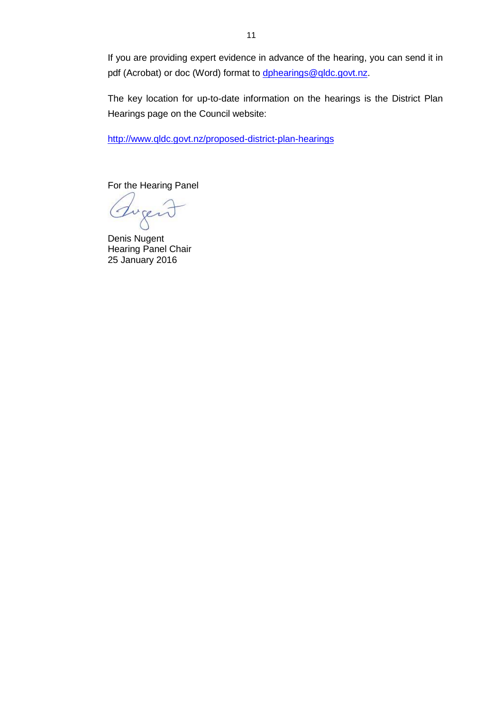If you are providing expert evidence in advance of the hearing, you can send it in pdf (Acrobat) or doc (Word) format to [dphearings@qldc.govt.nz.](mailto:dphearings@qldc.govt.nz)

The key location for up-to-date information on the hearings is the District Plan Hearings page on the Council website:

<http://www.qldc.govt.nz/proposed-district-plan-hearings>

For the Hearing Panel

Tuger

Denis Nugent Hearing Panel Chair 25 January 2016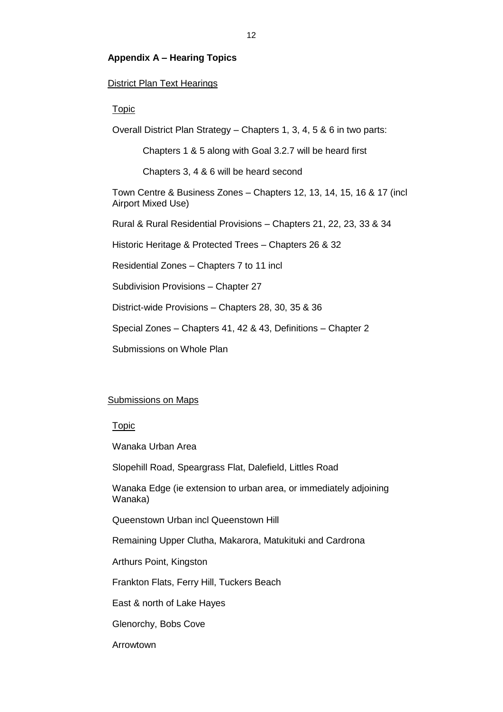# **Appendix A – Hearing Topics**

# District Plan Text Hearings

#### Topic

Overall District Plan Strategy – Chapters 1, 3, 4, 5 & 6 in two parts:

Chapters 1 & 5 along with Goal 3.2.7 will be heard first

Chapters 3, 4 & 6 will be heard second

Town Centre & Business Zones – Chapters 12, 13, 14, 15, 16 & 17 (incl Airport Mixed Use)

Rural & Rural Residential Provisions – Chapters 21, 22, 23, 33 & 34

Historic Heritage & Protected Trees – Chapters 26 & 32

Residential Zones – Chapters 7 to 11 incl

Subdivision Provisions – Chapter 27

District-wide Provisions – Chapters 28, 30, 35 & 36

Special Zones – Chapters 41, 42 & 43, Definitions – Chapter 2

Submissions on Whole Plan

#### Submissions on Maps

#### Topic

Wanaka Urban Area

Slopehill Road, Speargrass Flat, Dalefield, Littles Road

Wanaka Edge (ie extension to urban area, or immediately adjoining Wanaka)

Queenstown Urban incl Queenstown Hill

Remaining Upper Clutha, Makarora, Matukituki and Cardrona

Arthurs Point, Kingston

Frankton Flats, Ferry Hill, Tuckers Beach

East & north of Lake Hayes

Glenorchy, Bobs Cove

Arrowtown